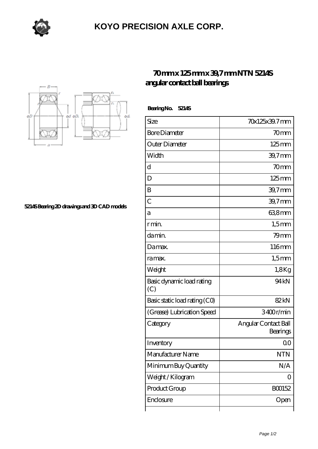

## **[KOYO PRECISION AXLE CORP.](https://m.sazsc.com)**



**[5214S Bearing 2D drawings and 3D CAD models](https://m.sazsc.com/pic-169398.html)**

## **[70 mm x 125 mm x 39,7 mm NTN 5214S](https://m.sazsc.com/al-169398-ntn-5214s-angular-contact-ball-bearings.html) [angular contact ball bearings](https://m.sazsc.com/al-169398-ntn-5214s-angular-contact-ball-bearings.html)**

 **Bearing No. 5214S**

| Size                             | 70x125x39.7mm                    |
|----------------------------------|----------------------------------|
| <b>Bore Diameter</b>             | 70 <sub>mm</sub>                 |
| Outer Diameter                   | $125 \text{mm}$                  |
| Width                            | 39,7mm                           |
| d                                | 70mm                             |
| D                                | $125 \text{mm}$                  |
| B                                | 39,7mm                           |
| $\overline{C}$                   | 39,7mm                           |
| а                                | 63,8mm                           |
| r min.                           | $1,5$ mm                         |
| da min.                          | 79 <sub>mm</sub>                 |
| Damax.                           | 116mm                            |
| ra max.                          | $1,5$ mm                         |
| Weight                           | 1,8Kg                            |
| Basic dynamic load rating<br>(C) | 94 <sub>kN</sub>                 |
| Basic static load rating (CO)    | 82kN                             |
| (Grease) Lubrication Speed       | 3400r/min                        |
| Category                         | Angular Contact Ball<br>Bearings |
| Inventory                        | Q0                               |
| Manufacturer Name                | <b>NTN</b>                       |
| Minimum Buy Quantity             | N/A                              |
| Weight / Kilogram                | 0                                |
| Product Group                    | BO0152                           |
| Enclosure                        | Open                             |
|                                  |                                  |